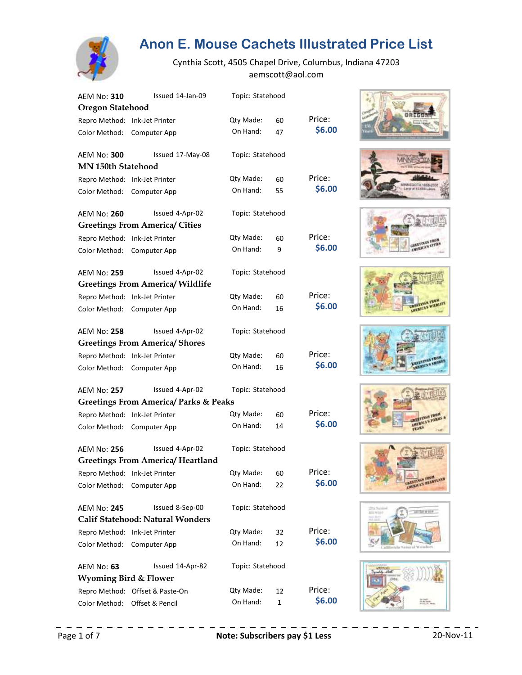

| <b>AEM No: 310</b>               | Issued 14-Jan-09                                 | Topic: Statehood |    |        |
|----------------------------------|--------------------------------------------------|------------------|----|--------|
| <b>Oregon Statehood</b>          |                                                  |                  |    |        |
| Repro Method: Ink-Jet Printer    |                                                  | Qty Made:        | 60 | Price: |
| Color Method:                    | Computer App                                     | On Hand:         | 47 | \$6.00 |
| <b>AEM No: 300</b>               | Issued 17-May-08                                 | Topic: Statehood |    |        |
| <b>MN 150th Statehood</b>        |                                                  |                  |    |        |
| Repro Method: Ink-Jet Printer    |                                                  | Qty Made:        | 60 | Price: |
| Color Method:                    | Computer App                                     | On Hand:         | 55 | \$6.00 |
| <b>AEM No: 260</b>               | Issued 4-Apr-02                                  | Topic: Statehood |    |        |
|                                  | <b>Greetings From America/ Cities</b>            |                  |    |        |
| Repro Method: Ink-Jet Printer    |                                                  | Qty Made:        | 60 | Price: |
| Color Method:                    | Computer App                                     | On Hand:         | 9  | \$6.00 |
| <b>AEM No: 259</b>               | Issued 4-Apr-02                                  | Topic: Statehood |    |        |
|                                  | <b>Greetings From America/ Wildlife</b>          |                  |    |        |
| Repro Method: Ink-Jet Printer    |                                                  | Qty Made:        | 60 | Price: |
| Color Method:                    | Computer App                                     | On Hand:         | 16 | \$6.00 |
| <b>AEM No: 258</b>               | Issued 4-Apr-02                                  | Topic: Statehood |    |        |
|                                  | <b>Greetings From America/ Shores</b>            |                  |    |        |
| Repro Method:                    | Ink-Jet Printer                                  | Qty Made:        | 60 | Price: |
| Color Method:                    | Computer App                                     | On Hand:         | 16 | \$6.00 |
| <b>AEM No: 257</b>               | Issued 4-Apr-02                                  | Topic: Statehood |    |        |
|                                  | <b>Greetings From America/ Parks &amp; Peaks</b> |                  |    |        |
| Repro Method:                    | Ink-Jet Printer                                  | Qty Made:        | 60 | Price: |
| Color Method:                    | Computer App                                     | On Hand:         | 14 | \$6.00 |
| <b>AEM No: 256</b>               | Issued 4-Apr-02                                  | Topic: Statehood |    |        |
|                                  | <b>Greetings From America/ Heartland</b>         |                  |    |        |
| Repro Method:                    | Ink-Jet Printer                                  | Qty Made:        | 60 | Price: |
| Color Method:                    | Computer App                                     | On Hand:         | 22 | \$6.00 |
| <b>AEM No: 245</b>               | Issued 8-Sep-00                                  | Topic: Statehood |    |        |
|                                  | <b>Calif Statehood: Natural Wonders</b>          |                  |    |        |
| Repro Method: Ink-Jet Printer    |                                                  | Qty Made:        | 32 | Price: |
| Color Method:                    | Computer App                                     | On Hand:         | 12 | \$6.00 |
| AEM No: 63                       | Issued 14-Apr-82                                 | Topic: Statehood |    |        |
| <b>Wyoming Bird &amp; Flower</b> |                                                  |                  |    |        |
|                                  | Repro Method: Offset & Paste-On                  | Qty Made:        | 12 | Price: |
| Color Method:                    | Offset & Pencil                                  | On Hand:         | 1  | \$6.00 |

















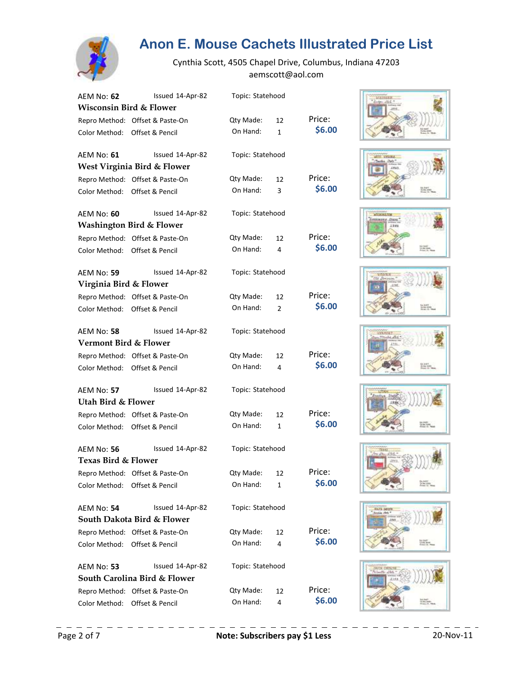

| AEM No: <b>62</b>                | Issued 14-Apr-82                    | Topic: Statehood |                |        |
|----------------------------------|-------------------------------------|------------------|----------------|--------|
| Wisconsin Bird & Flower          |                                     |                  |                |        |
|                                  | Repro Method: Offset & Paste-On     | Qty Made:        | 12             | Price: |
|                                  | Color Method: Offset & Pencil       | On Hand:         | $\mathbf{1}$   | \$6.00 |
| AEM No: <b>61</b>                | Issued 14-Apr-82                    | Topic: Statehood |                |        |
|                                  | West Virginia Bird & Flower         |                  |                |        |
|                                  | Repro Method: Offset & Paste-On     | Qty Made:        | 12             | Price: |
|                                  | Color Method: Offset & Pencil       | On Hand:         | 3              | \$6.00 |
| AEM No: 60                       | Issued 14-Apr-82                    | Topic: Statehood |                |        |
|                                  | <b>Washington Bird &amp; Flower</b> |                  |                |        |
|                                  | Repro Method: Offset & Paste-On     | Qty Made:        | 12             | Price: |
|                                  | Color Method: Offset & Pencil       | On Hand:         | 4              | \$6.00 |
| AEM No: 59                       | Issued 14-Apr-82                    | Topic: Statehood |                |        |
| Virginia Bird & Flower           |                                     |                  |                |        |
|                                  | Repro Method: Offset & Paste-On     | Qty Made:        | 12             | Price: |
|                                  | Color Method: Offset & Pencil       | On Hand:         | $\overline{2}$ | \$6.00 |
| AEM No: 58                       | Issued 14-Apr-82                    | Topic: Statehood |                |        |
| <b>Vermont Bird &amp; Flower</b> |                                     |                  |                |        |
|                                  | Repro Method: Offset & Paste-On     | Qty Made:        | 12             | Price: |
|                                  | Color Method: Offset & Pencil       | On Hand:         | 4              | \$6.00 |
| AEM No: <b>57</b>                | Issued 14-Apr-82                    | Topic: Statehood |                |        |
| Utah Bird & Flower               |                                     |                  |                |        |
|                                  | Repro Method: Offset & Paste-On     | Qty Made:        | 12             | Price: |
|                                  | Color Method: Offset & Pencil       | On Hand:         | $\mathbf{1}$   | \$6.00 |
| AEM No: 56                       | Issued 14-Apr-82                    | Topic: Statehood |                |        |
| Texas Bird & Flower              |                                     |                  |                |        |
|                                  | Repro Method: Offset & Paste-On     | Qty Made: 12     |                | Price: |
| Color Method:                    | Offset & Pencil                     | On Hand:         | 1              | \$6.00 |
| AEM No: 54                       | Issued 14-Apr-82                    | Topic: Statehood |                |        |
|                                  | South Dakota Bird & Flower          |                  |                |        |
|                                  | Repro Method: Offset & Paste-On     | Qty Made:        | 12             | Price: |
| Color Method:                    | Offset & Pencil                     | On Hand:         | 4              | \$6.00 |
| AEM No: 53                       | Issued 14-Apr-82                    | Topic: Statehood |                |        |
|                                  | South Carolina Bird & Flower        |                  |                |        |
|                                  | Repro Method: Offset & Paste-On     | Qty Made:        | 12             | Price: |
| Color Method:                    | Offset & Pencil                     | On Hand:         | 4              | \$6.00 |













![](_page_1_Picture_10.jpeg)

![](_page_1_Picture_11.jpeg)

![](_page_1_Picture_12.jpeg)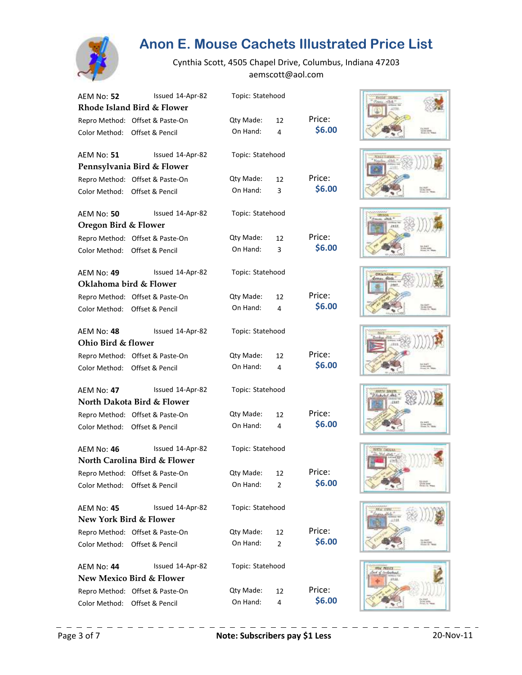![](_page_2_Picture_0.jpeg)

| AEM No: <b>52</b>                 | Issued 14-Apr-82                    | Topic: Statehood |                |        |
|-----------------------------------|-------------------------------------|------------------|----------------|--------|
|                                   | Rhode Island Bird & Flower          |                  |                |        |
|                                   | Repro Method: Offset & Paste-On     | Qty Made:        | 12             | Price: |
|                                   | Color Method: Offset & Pencil       | On Hand:         | 4              | \$6.00 |
| AEM No: <b>51</b>                 | Issued 14-Apr-82                    | Topic: Statehood |                |        |
|                                   | Pennsylvania Bird & Flower          |                  |                |        |
|                                   | Repro Method: Offset & Paste-On     | Qty Made:        | 12             | Price: |
| Color Method: Offset & Pencil     |                                     | On Hand:         | 3              | \$6.00 |
| AEM No: 50                        | Issued 14-Apr-82                    | Topic: Statehood |                |        |
| <b>Oregon Bird &amp; Flower</b>   |                                     |                  |                |        |
|                                   | Repro Method: Offset & Paste-On     | Qty Made:        | 12             | Price: |
|                                   | Color Method: Offset & Pencil       | On Hand:         | 3              | \$6.00 |
| <b>AEM No: 49</b>                 | Issued 14-Apr-82                    | Topic: Statehood |                |        |
| Oklahoma bird & Flower            |                                     |                  |                |        |
|                                   | Repro Method: Offset & Paste-On     | Qty Made:        | 12             | Price: |
| Color Method: Offset & Pencil     |                                     | On Hand:         | 4              | \$6.00 |
| AEM No: <b>48</b>                 | Issued 14-Apr-82                    | Topic: Statehood |                |        |
| Ohio Bird & flower                |                                     |                  |                |        |
|                                   | Repro Method: Offset & Paste-On     | Qty Made:        | 12             | Price: |
|                                   | Color Method: Offset & Pencil       | On Hand:         | 4              | \$6.00 |
| AEM No: <b>47</b>                 | Issued 14-Apr-82                    | Topic: Statehood |                |        |
|                                   | North Dakota Bird & Flower          |                  |                |        |
|                                   | Repro Method: Offset & Paste-On     | Qty Made:        | 12             | Price: |
|                                   | Color Method: Offset & Pencil       | On Hand:         | 4              | \$6.00 |
| AEM No: <b>46</b>                 | Issued 14-Apr-82                    | Topic: Statehood |                |        |
|                                   | North Carolina Bird & Flower        |                  |                |        |
|                                   | Repro Method: Offset & Paste-On     | Qty Made:        | 12             | Price: |
| Color Method:                     | Offset & Pencil                     | On Hand:         | 2              | \$6.00 |
| <b>AEM No: 45</b>                 | Issued 14-Apr-82                    | Topic: Statehood |                |        |
| <b>New York Bird &amp; Flower</b> |                                     |                  |                |        |
|                                   | Repro Method: Offset & Paste-On     | Qty Made:        | 12             | Price: |
| Color Method:                     | Offset & Pencil                     | On Hand:         | $\overline{2}$ | \$6.00 |
| AEM No: <b>44</b>                 | Issued 14-Apr-82                    | Topic: Statehood |                |        |
|                                   | <b>New Mexico Bird &amp; Flower</b> |                  |                |        |
|                                   | Repro Method: Offset & Paste-On     | Qty Made:        | 12             | Price: |
| Color Method:                     | Offset & Pencil                     | On Hand:         | 4              | \$6.00 |

![](_page_2_Picture_4.jpeg)

![](_page_2_Picture_5.jpeg)

![](_page_2_Picture_6.jpeg)

![](_page_2_Picture_7.jpeg)

![](_page_2_Picture_8.jpeg)

![](_page_2_Picture_9.jpeg)

![](_page_2_Picture_10.jpeg)

![](_page_2_Picture_11.jpeg)

![](_page_2_Picture_12.jpeg)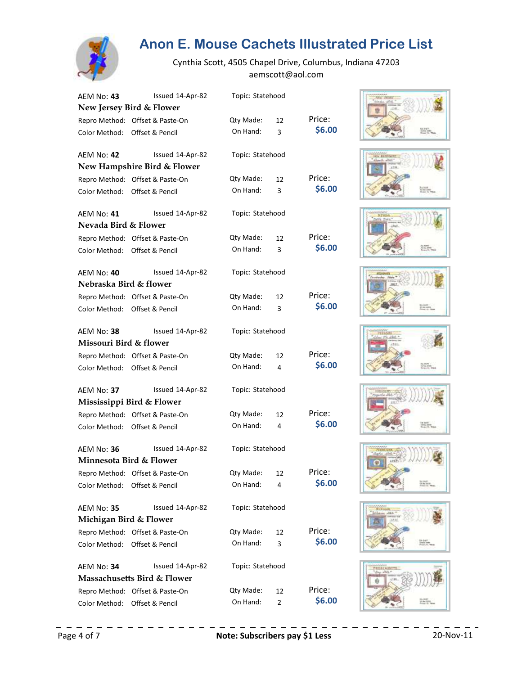![](_page_3_Picture_0.jpeg)

| AEM No: 43             | Issued 14-Apr-82                       | Topic: Statehood |                |        |
|------------------------|----------------------------------------|------------------|----------------|--------|
|                        | New Jersey Bird & Flower               |                  |                |        |
|                        | Repro Method: Offset & Paste-On        | Qty Made:        | 12             | Price: |
|                        | Color Method: Offset & Pencil          | On Hand:         | 3              | \$6.00 |
| AEM No: <b>42</b>      | Issued 14-Apr-82                       | Topic: Statehood |                |        |
|                        | New Hampshire Bird & Flower            |                  |                |        |
|                        | Repro Method: Offset & Paste-On        | Qty Made:        | 12             | Price: |
|                        | Color Method: Offset & Pencil          | On Hand:         | 3              | \$6.00 |
| AEM No: <b>41</b>      | Issued 14-Apr-82                       | Topic: Statehood |                |        |
| Nevada Bird & Flower   |                                        |                  |                |        |
|                        | Repro Method: Offset & Paste-On        | Qty Made:        | 12             | Price: |
|                        | Color Method: Offset & Pencil          | On Hand:         | 3              | \$6.00 |
| AEM No: 40             | Issued 14-Apr-82                       | Topic: Statehood |                |        |
| Nebraska Bird & flower |                                        |                  |                |        |
|                        | Repro Method: Offset & Paste-On        | Qty Made:        | 12             | Price: |
|                        | Color Method: Offset & Pencil          | On Hand:         | 3              | \$6.00 |
| AEM No: 38             | Issued 14-Apr-82                       | Topic: Statehood |                |        |
| Missouri Bird & flower |                                        |                  |                |        |
|                        | Repro Method: Offset & Paste-On        | Qty Made:        | 12             | Price: |
|                        | Color Method: Offset & Pencil          | On Hand:         | 4              | \$6.00 |
| AEM No: <b>37</b>      | Issued 14-Apr-82                       | Topic: Statehood |                |        |
|                        | Mississippi Bird & Flower              |                  |                |        |
|                        | Repro Method: Offset & Paste-On        | Qty Made:        | 12             | Price: |
|                        | Color Method: Offset & Pencil          | On Hand:         | 4              | \$6.00 |
| AEM No: 36             | Issued 14-Apr-82                       | Topic: Statehood |                |        |
|                        | Minnesota Bird & Flower                |                  |                |        |
|                        | Repro Method: Offset & Paste-On        | Qty Made: 12     |                | Price: |
| Color Method:          | Offset & Pencil                        | On Hand:         | 4              | \$6.00 |
| AEM No: <b>35</b>      | Issued 14-Apr-82                       | Topic: Statehood |                |        |
| Michigan Bird & Flower |                                        |                  |                |        |
|                        | Repro Method: Offset & Paste-On        | Qty Made:        | 12             | Price: |
| Color Method:          | Offset & Pencil                        | On Hand:         | 3              | \$6.00 |
| AEM No: 34             | Issued 14-Apr-82                       | Topic: Statehood |                |        |
|                        | <b>Massachusetts Bird &amp; Flower</b> |                  |                |        |
|                        | Repro Method: Offset & Paste-On        | Qty Made:        | 12             | Price: |
| Color Method:          | Offset & Pencil                        | On Hand:         | $\overline{2}$ | \$6.00 |

![](_page_3_Picture_4.jpeg)

![](_page_3_Picture_5.jpeg)

![](_page_3_Picture_6.jpeg)

![](_page_3_Picture_7.jpeg)

![](_page_3_Picture_8.jpeg)

![](_page_3_Picture_9.jpeg)

![](_page_3_Picture_10.jpeg)

![](_page_3_Picture_11.jpeg)

![](_page_3_Picture_12.jpeg)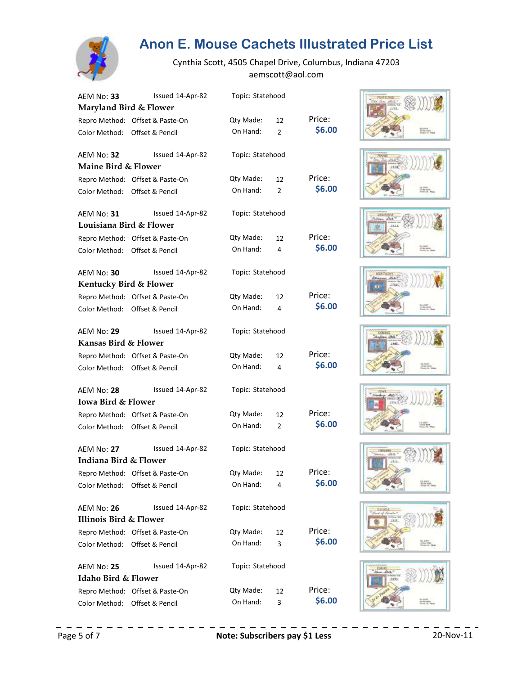![](_page_4_Picture_0.jpeg)

| AEM No: 33                        | Issued 14-Apr-82                | Topic: Statehood |    |        |
|-----------------------------------|---------------------------------|------------------|----|--------|
| Maryland Bird & Flower            |                                 |                  |    |        |
|                                   | Repro Method: Offset & Paste-On | Qty Made:        | 12 | Price: |
|                                   | Color Method: Offset & Pencil   | On Hand:         | 2  | \$6.00 |
| AEM No: 32                        | Issued 14-Apr-82                | Topic: Statehood |    |        |
| Maine Bird & Flower               |                                 |                  |    |        |
|                                   | Repro Method: Offset & Paste-On | Qty Made:        | 12 | Price: |
|                                   | Color Method: Offset & Pencil   | On Hand:         | 2  | \$6.00 |
| AEM No: 31                        | Issued 14-Apr-82                | Topic: Statehood |    |        |
| Louisiana Bird & Flower           |                                 |                  |    |        |
|                                   | Repro Method: Offset & Paste-On | Qty Made:        | 12 | Price: |
|                                   | Color Method: Offset & Pencil   | On Hand:         | 4  | \$6.00 |
| <b>AEM No: 30</b>                 | Issued 14-Apr-82                | Topic: Statehood |    |        |
| Kentucky Bird & Flower            |                                 |                  |    |        |
|                                   | Repro Method: Offset & Paste-On | Qty Made:        | 12 | Price: |
|                                   | Color Method: Offset & Pencil   | On Hand:         | 4  | \$6.00 |
| <b>AEM No: 29</b>                 | Issued 14-Apr-82                | Topic: Statehood |    |        |
| <b>Kansas Bird &amp; Flower</b>   |                                 |                  |    |        |
|                                   | Repro Method: Offset & Paste-On | Qty Made:        | 12 | Price: |
|                                   | Color Method: Offset & Pencil   | On Hand:         | 4  | \$6.00 |
| <b>AEM No: 28</b>                 | Issued 14-Apr-82                | Topic: Statehood |    |        |
| <b>Iowa Bird &amp; Flower</b>     |                                 |                  |    |        |
|                                   | Repro Method: Offset & Paste-On | Qty Made:        | 12 | Price: |
|                                   | Color Method: Offset & Pencil   | On Hand:         | 2  | \$6.00 |
| <b>AEM No: 27</b>                 | Issued 14-Apr-82                | Topic: Statehood |    |        |
| Indiana Bird & Flower             |                                 |                  |    |        |
|                                   | Repro Method: Offset & Paste-On | Qty Made: 12     |    | Price: |
| Color Method:                     | Offset & Pencil                 | On Hand:         | 4  | \$6.00 |
| AEM No: 26                        | Issued 14-Apr-82                | Topic: Statehood |    |        |
| <b>Illinois Bird &amp; Flower</b> |                                 |                  |    |        |
|                                   | Repro Method: Offset & Paste-On | Qty Made:        | 12 | Price: |
|                                   | Color Method: Offset & Pencil   | On Hand:         | 3  | \$6.00 |
| AEM No: 25                        | Issued 14-Apr-82                | Topic: Statehood |    |        |
| Idaho Bird & Flower               |                                 |                  |    |        |
|                                   | Repro Method: Offset & Paste-On | Qty Made:        | 12 | Price: |
| Color Method:                     | Offset & Pencil                 | On Hand:         | 3  | \$6.00 |

![](_page_4_Picture_4.jpeg)

![](_page_4_Picture_5.jpeg)

![](_page_4_Picture_6.jpeg)

![](_page_4_Picture_7.jpeg)

![](_page_4_Picture_8.jpeg)

![](_page_4_Picture_9.jpeg)

![](_page_4_Picture_10.jpeg)

![](_page_4_Picture_11.jpeg)

![](_page_4_Picture_12.jpeg)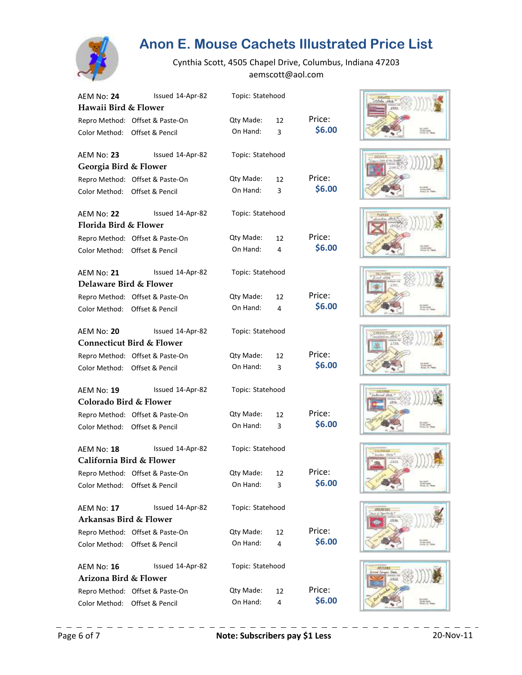![](_page_5_Picture_0.jpeg)

| AEM No: 24                    | Issued 14-Apr-82                     | Topic: Statehood |    |        |
|-------------------------------|--------------------------------------|------------------|----|--------|
| Hawaii Bird & Flower          |                                      |                  |    |        |
|                               | Repro Method: Offset & Paste-On      | Qty Made:        | 12 | Price: |
| Color Method: Offset & Pencil |                                      | On Hand:         | 3  | \$6.00 |
| AEM No: 23                    | Issued 14-Apr-82                     | Topic: Statehood |    |        |
| Georgia Bird & Flower         |                                      |                  |    |        |
|                               | Repro Method: Offset & Paste-On      | Qty Made:        | 12 | Price: |
| Color Method: Offset & Pencil |                                      | On Hand:         | 3  | \$6.00 |
| <b>AEM No: 22</b>             | Issued 14-Apr-82                     | Topic: Statehood |    |        |
| Florida Bird & Flower         |                                      |                  |    |        |
|                               | Repro Method: Offset & Paste-On      | Qty Made:        | 12 | Price: |
| Color Method: Offset & Pencil |                                      | On Hand:         | 4  | \$6.00 |
| <b>AEM No: 21</b>             | Issued 14-Apr-82                     | Topic: Statehood |    |        |
| Delaware Bird & Flower        |                                      |                  |    |        |
|                               | Repro Method: Offset & Paste-On      | Qty Made:        | 12 | Price: |
| Color Method: Offset & Pencil |                                      | On Hand:         | 4  | \$6.00 |
| AEM No: 20                    | Issued 14-Apr-82                     | Topic: Statehood |    |        |
|                               | <b>Connecticut Bird &amp; Flower</b> |                  |    |        |
|                               | Repro Method: Offset & Paste-On      | Qty Made:        | 12 | Price: |
| Color Method: Offset & Pencil |                                      | On Hand:         | 3  | \$6.00 |
| AEM No: 19                    | Issued 14-Apr-82                     | Topic: Statehood |    |        |
| Colorado Bird & Flower        |                                      |                  |    |        |
|                               | Repro Method: Offset & Paste-On      | Qty Made:        | 12 | Price: |
| Color Method: Offset & Pencil |                                      | On Hand:         | 3  | \$6.00 |
| AEM No: 18                    | Issued 14-Apr-82                     | Topic: Statehood |    |        |
| California Bird & Flower      |                                      |                  |    |        |
|                               | Repro Method: Offset & Paste-On      | Qty Made: 12     |    | Price: |
| Color Method:                 | Offset & Pencil                      | On Hand:         | 3  | \$6.00 |
| <b>AEM No: 17</b>             | Issued 14-Apr-82                     | Topic: Statehood |    |        |
| Arkansas Bird & Flower        |                                      |                  |    |        |
|                               | Repro Method: Offset & Paste-On      | Qty Made:        | 12 | Price: |
| Color Method: Offset & Pencil |                                      | On Hand:         | 4  | \$6.00 |
| AEM No: 16                    | Issued 14-Apr-82                     | Topic: Statehood |    |        |
| Arizona Bird & Flower         |                                      |                  |    |        |
|                               | Repro Method: Offset & Paste-On      | Qty Made:        | 12 | Price: |
| Color Method:                 | Offset & Pencil                      | On Hand:         | 4  | \$6.00 |

![](_page_5_Picture_4.jpeg)

![](_page_5_Picture_5.jpeg)

![](_page_5_Picture_6.jpeg)

![](_page_5_Picture_7.jpeg)

![](_page_5_Picture_8.jpeg)

![](_page_5_Picture_9.jpeg)

![](_page_5_Picture_10.jpeg)

![](_page_5_Picture_11.jpeg)

![](_page_5_Picture_12.jpeg)